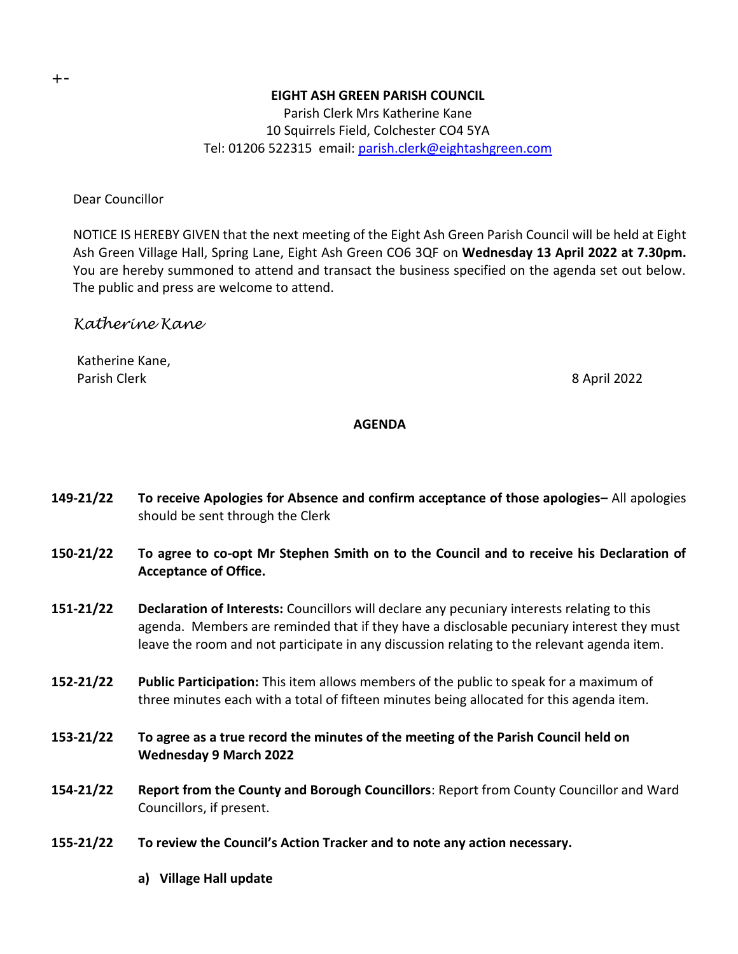### **EIGHT ASH GREEN PARISH COUNCIL**

Parish Clerk Mrs Katherine Kane 10 Squirrels Field, Colchester CO4 5YA Tel: 01206 522315 email: [parish.clerk@eightashgreen.com](mailto:parish.clerk@eightashgreen.com)

Dear Councillor

NOTICE IS HEREBY GIVEN that the next meeting of the Eight Ash Green Parish Council will be held at Eight Ash Green Village Hall, Spring Lane, Eight Ash Green CO6 3QF on **Wednesday 13 April 2022 at 7.30pm.** You are hereby summoned to attend and transact the business specified on the agenda set out below. The public and press are welcome to attend.

# *Katherine Kane*

Katherine Kane, Parish Clerk 8 April 2022

#### **AGENDA**

- **149-21/22 To receive Apologies for Absence and confirm acceptance of those apologies–** All apologies should be sent through the Clerk
- **150-21/22 To agree to co-opt Mr Stephen Smith on to the Council and to receive his Declaration of Acceptance of Office.**
- **151-21/22 Declaration of Interests:** Councillors will declare any pecuniary interests relating to this agenda. Members are reminded that if they have a disclosable pecuniary interest they must leave the room and not participate in any discussion relating to the relevant agenda item.
- **152-21/22 Public Participation:** This item allows members of the public to speak for a maximum of three minutes each with a total of fifteen minutes being allocated for this agenda item.
- **153-21/22 To agree as a true record the minutes of the meeting of the Parish Council held on Wednesday 9 March 2022**
- **154-21/22 Report from the County and Borough Councillors**: Report from County Councillor and Ward Councillors, if present.
- **155-21/22 To review the Council's Action Tracker and to note any action necessary.**
	- **a) Village Hall update**

+-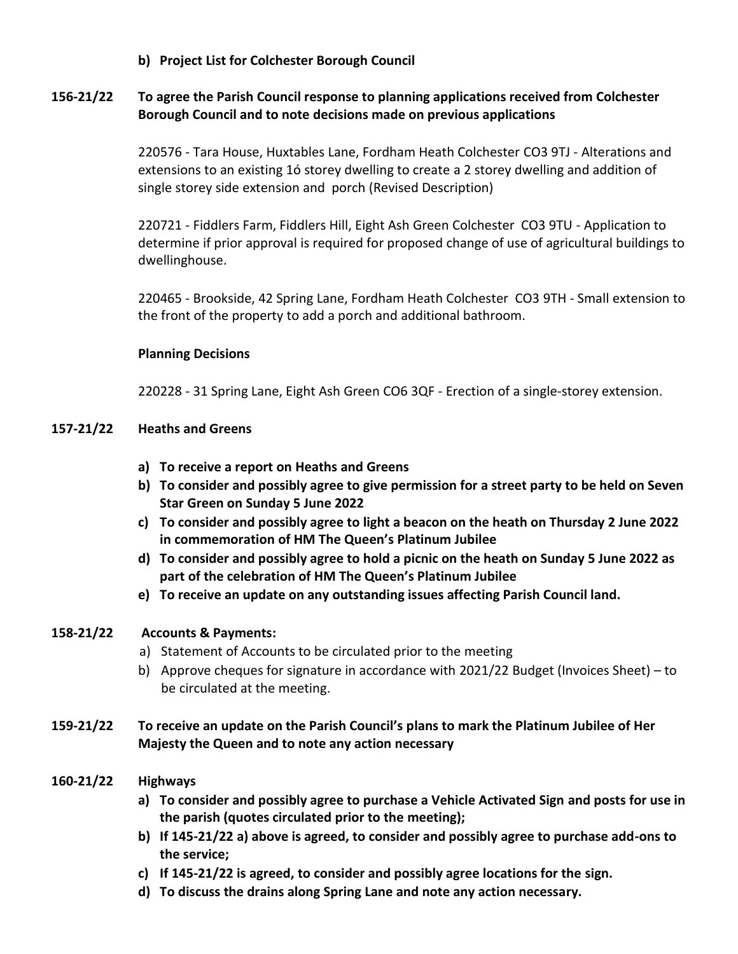**b) Project List for Colchester Borough Council**

## **156-21/22 To agree the Parish Council response to planning applications received from Colchester Borough Council and to note decisions made on previous applications**

220576 - Tara House, Huxtables Lane, Fordham Heath Colchester CO3 9TJ - Alterations and extensions to an existing 1ó storey dwelling to create a 2 storey dwelling and addition of single storey side extension and porch (Revised Description)

220721 - Fiddlers Farm, Fiddlers Hill, Eight Ash Green Colchester CO3 9TU - Application to determine if prior approval is required for proposed change of use of agricultural buildings to dwellinghouse.

220465 - Brookside, 42 Spring Lane, Fordham Heath Colchester CO3 9TH - Small extension to the front of the property to add a porch and additional bathroom.

### **Planning Decisions**

220228 - 31 Spring Lane, Eight Ash Green CO6 3QF - Erection of a single-storey extension.

### **157-21/22 Heaths and Greens**

- **a) To receive a report on Heaths and Greens**
- **b) To consider and possibly agree to give permission for a street party to be held on Seven Star Green on Sunday 5 June 2022**
- **c) To consider and possibly agree to light a beacon on the heath on Thursday 2 June 2022 in commemoration of HM The Queen's Platinum Jubilee**
- **d) To consider and possibly agree to hold a picnic on the heath on Sunday 5 June 2022 as part of the celebration of HM The Queen's Platinum Jubilee**
- **e) To receive an update on any outstanding issues affecting Parish Council land.**

## **158-21/22 Accounts & Payments:**

- a) Statement of Accounts to be circulated prior to the meeting
- b) Approve cheques for signature in accordance with 2021/22 Budget (Invoices Sheet) to be circulated at the meeting.

## **159-21/22 To receive an update on the Parish Council's plans to mark the Platinum Jubilee of Her Majesty the Queen and to note any action necessary**

## **160-21/22 Highways**

- **a) To consider and possibly agree to purchase a Vehicle Activated Sign and posts for use in the parish (quotes circulated prior to the meeting);**
- **b) If 145-21/22 a) above is agreed, to consider and possibly agree to purchase add-ons to the service;**
- **c) If 145-21/22 is agreed, to consider and possibly agree locations for the sign.**
- **d) To discuss the drains along Spring Lane and note any action necessary.**